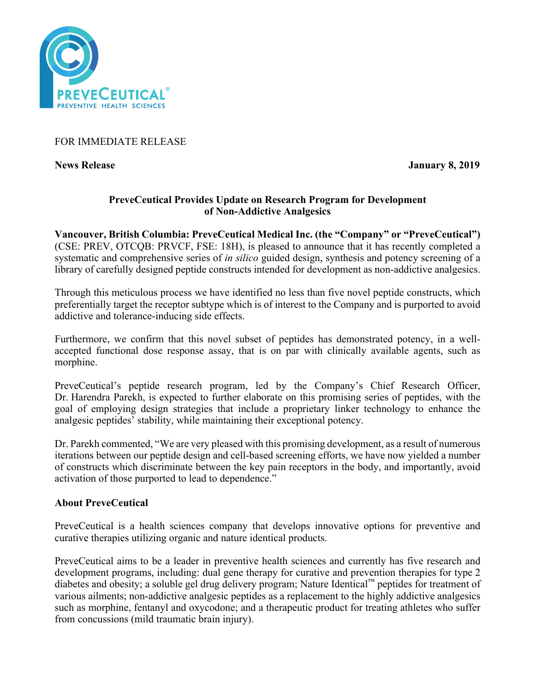

FOR IMMEDIATE RELEASE

**News Release January 8, 2019** 

## **PreveCeutical Provides Update on Research Program for Development of Non-Addictive Analgesics**

**Vancouver, British Columbia: PreveCeutical Medical Inc. (the "Company" or "PreveCeutical")** (CSE: PREV, OTCQB: PRVCF, FSE: 18H), is pleased to announce that it has recently completed a systematic and comprehensive series of *in silico* guided design, synthesis and potency screening of a library of carefully designed peptide constructs intended for development as non-addictive analgesics.

Through this meticulous process we have identified no less than five novel peptide constructs, which preferentially target the receptor subtype which is of interest to the Company and is purported to avoid addictive and tolerance-inducing side effects.

Furthermore, we confirm that this novel subset of peptides has demonstrated potency, in a wellaccepted functional dose response assay, that is on par with clinically available agents, such as morphine.

PreveCeutical's peptide research program, led by the Company's Chief Research Officer, Dr. Harendra Parekh, is expected to further elaborate on this promising series of peptides, with the goal of employing design strategies that include a proprietary linker technology to enhance the analgesic peptides' stability, while maintaining their exceptional potency.

Dr. Parekh commented, "We are very pleased with this promising development, as a result of numerous iterations between our peptide design and cell-based screening efforts, we have now yielded a number of constructs which discriminate between the key pain receptors in the body, and importantly, avoid activation of those purported to lead to dependence."

# **About PreveCeutical**

PreveCeutical is a health sciences company that develops innovative options for preventive and curative therapies utilizing organic and nature identical products.

PreveCeutical aims to be a leader in preventive health sciences and currently has five research and development programs, including: dual gene therapy for curative and prevention therapies for type 2 diabetes and obesity; a soluble gel drug delivery program; Nature Identical™ peptides for treatment of various ailments; non-addictive analgesic peptides as a replacement to the highly addictive analgesics such as morphine, fentanyl and oxycodone; and a therapeutic product for treating athletes who suffer from concussions (mild traumatic brain injury).